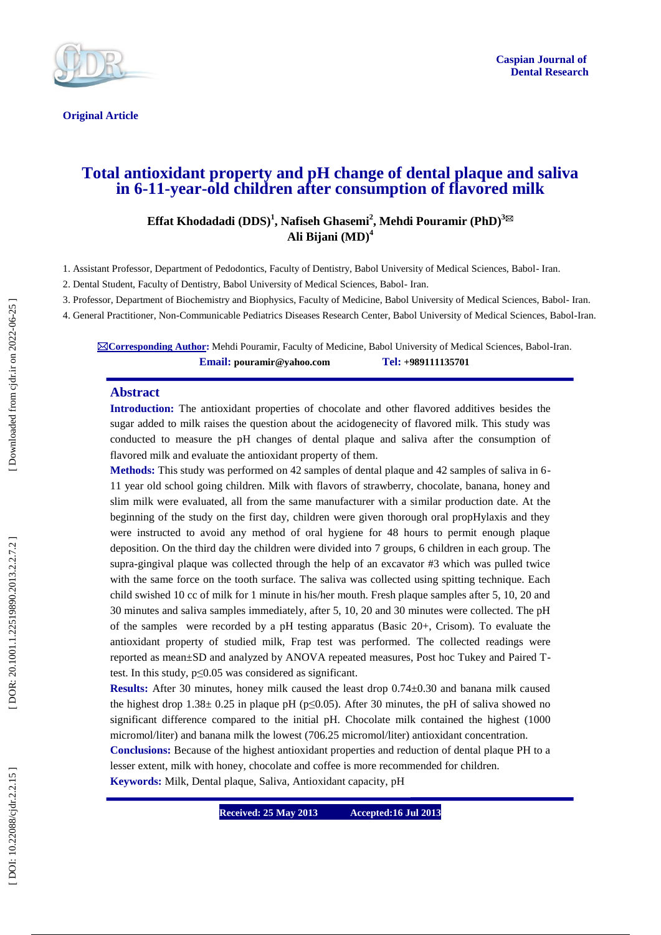

**Original Article** 

# **Total antioxidant property and pH change of dental plaque and saliva in 6 -11 -year -old children after consumption of flavored milk**

 $\mathbf{Effat}\ \mathbf{K}$ hodadadi  $(\mathbf{DDS})^1$ , Nafiseh Ghasemi $^2$ , Mehdi Pouramir  $(\mathbf{PhD})^{3\boxtimes 2}$ **Ali Bijani (MD) 4**

1. Assistant Professor, Department of Pedodontics, Faculty of Dentistry, Babol University of Medical Sciences, Babol - Iran.

2. Dental Student, Faculty of Dentistry, Babol University of Medical Sciences, Babol - Iran.

3. Professor, Department of Biochemistry and Biophysics, Faculty of Medicine, Babol University of Medical Sciences, Babol - Iran.

4. General Practitioner, Non -Communicable Pediatrics Diseases Research Center, Babol University of Medical Sciences, Babol -Iran.

**⊠Corresponding Author:** Mehdi Pouramir, Faculty of Medicine, Babol University of Medical Sciences, Babol-Iran. **Email: [pouramir@yahoo.com](mailto:pouramir@yahoo.com) Tel: +989111135701**

#### **Abstract**

**Introduction :** The antioxidant properties of chocolate and other flavored additives besides the sugar added to milk raises the question about the acidogenecity of flavored milk. This study was conducted to measure the pH changes of dental plaque and saliva after the consumption of flavored milk and evaluate the antioxidant property of them.

**Methods:** This study was performed on 42 samples of dental plaque and 42 samples of saliva in 6 - 11 year old school going children. Milk with flavors of strawberry, chocolate, banana, honey and slim milk were evaluated, all from the same manufacturer with a similar production date. At the beginning of the study on the first day, children were given thorough oral propHylaxis and they were instructed to avoid any method of oral hygiene for 48 hours to permit enough plaque deposition. On the third day the children were divided into 7 groups, 6 children in each group. The supra -gingival plaque was collected through the help of an excavator #3 which was pulled twice with the same force on the tooth surface. The saliva was collected using spitting technique. Each child swished 10 cc of milk for 1 minute in his/her mouth. Fresh plaque samples after 5, 10, 20 and 30 minutes and saliva samples immediately, after 5, 10, 20 and 30 minutes were collected. The pH of the samples were recorded by a pH testing apparatus (Basic 20+, Crisom). To evaluate the antioxidant property of studied milk, Frap test was performed. The collected readings were reported as mean±SD and analyzed by ANOVA repeated measures, Post hoc Tukey and Paired T test. In this study, p≤0.05 was considered as significant.

**Results:** After 30 minutes, honey milk caused the least drop 0.74±0.30 and banana milk caused the highest drop  $1.38 \pm 0.25$  in plaque pH (p $\leq 0.05$ ). After 30 minutes, the pH of saliva showed no significant difference compared to the initial pH. Chocolate milk contained the highest (1000 micromol/liter) and banana milk the lowest (706.25 micromol/liter) antioxidant concentration.

**Conclusions:** Because of the highest antioxidant properties and reduction of dental plaque PH to a lesser extent, milk with honey, chocolate and coffee is more recommended for children.

**Keywords:** Milk, Dental plaque, Saliva, Antioxidant capacity, p H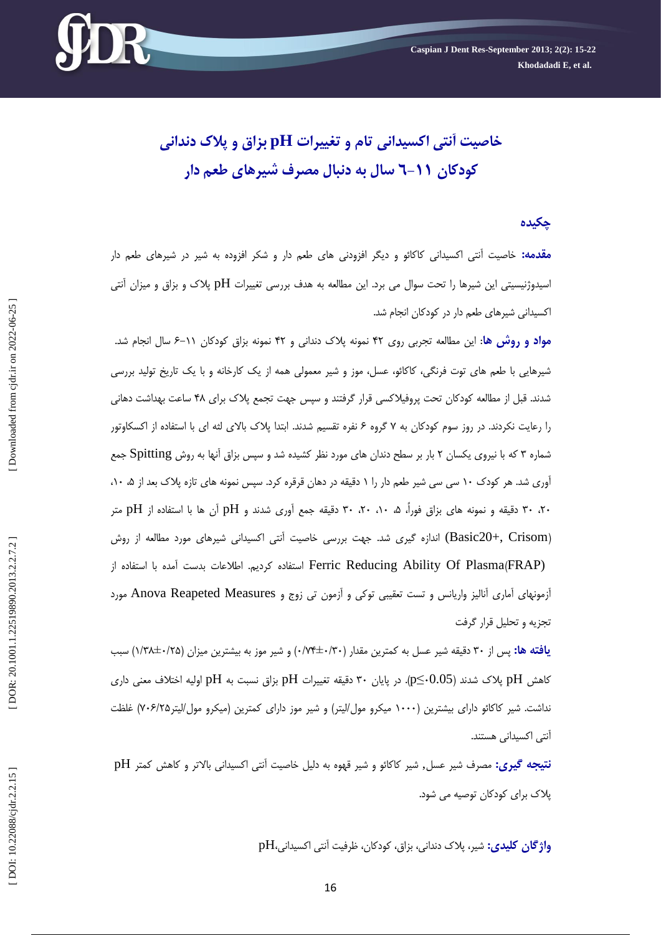

**خاصیت آنتی اکسیدانی تام و تغییرات pH بزاق و پالک دندانی سال به دنبال هصرف شیرهای طعن دار 6 کودکان -11**

# **چکیده**

<mark>مقدمه:</mark> خاصیت انتی اکسیدانی کاکائو و دیگر افزودنی های طعم دار و شکر افزوده به شیر در شیرهای طعم دار اسیدوژنیسیتی این شیرها را تحت سوال می برد. این مطالعه به هدف بررسی تغییرات pH پلاک و بزاق و میزان آنتی اکسیدانی شیرهای طعم دار در کودکان انجام شد.

**مواد و روش ها**: این مطالعه تجربی روی ۴۲ نمونه پلاک دندانی و ۴۲ نمونه بزاق کودکان ۱۱–۶ سال انجام شد. شیرهایی با طعم های توت فرنگی، کاکائو، عسل، موز و شیر معمولی همه از یک کارخانه و با یک تاریخ تولید بررسی شدند. قبل از مطالعه کودکان تحت پروفیلاکسی قرار گرفتند و سپس جهت تجمع پلاک برای ۴۸ ساعت بهداشت دهانی را رعایت نکردند. در روز سوم کودکان به ۷ گروه ۶ نفره تقسیم شدند. ابتدا پلاک بالای لثه ای با استفاده از اکسکاوتور شماره ۳ که با نیروی یکسان ۲ بار بر سطح دندان های مورد نظر کشیده شد و سپس بزاق آنها به روش Spitting جمع اوری شد. هر کودک ۱۰ سی سی شیر طعم دار را ۱ دقیقه در دهان قرقره کرد. سپس نمونه های تازه پلاک بعد از ۰،۵ ۱۰، ۲۰، ۳۰ دقیقه و نمونه های بزاق فوراً، ۵، ۱۰، ۲۰، ۳۰ دقیقه جمع آوری شدند و pH آن ها با استفاده از pH متر (Basic20+, Crisom) اندازه گیری شد. جهت بررسی خاصیت آنتی اکسیدانی شیرهای مورد مطالعه از روش Ferric Reducing Ability Of Plasma(FRAP) استفاده کردیم. اطلاعات بدست آمده با استفاده از آزمونهای آماری آنالیز واریانس و تست تعقیبی توکی و آزمون تی زوج و Anova Reapeted Measures مورد آ تجزیه و تحلیل قرار گرفت

**یافته ها:** پس از ۳۰ دقیقه شیر عسل به کمترین مقدار (۷۴۰±۰/۳۰) و شیر موز به بیشترین میزان (۱/۲۸±۰/۲۵) سبب کاهش  $\rm pH$  پلاک شدند (p $\leq$ -0.05). در پایان ۳۰ دقیقه تغییرات  $\rm pH$  بزاق نسبت به  $\rm{H}$  اولیه اختلاف معنی داری نداشت. شیر کاکائو دارای بیشترین (۱۰۰۰ میکرو مول/لیتر) و شیر موز دارای کمترین (میکرو مول/لیتر۷۰۶/۲۵) غلظت آنتی اکسیدانی هستند.

**نتیجه گیری:** مصرف شیر عسل, شیر کاکائو و شیر قهوه به دلیل خاصیت اَنتی اکسیدانی بالاتر و کاهش کمتر pH پلاک برای کودکان توصیه می شود.

و**اژگان کلیدی:** شیر، پلاک دندانی، بزاق، کودکان، ظرفیت آنتی اکسیدانی،pH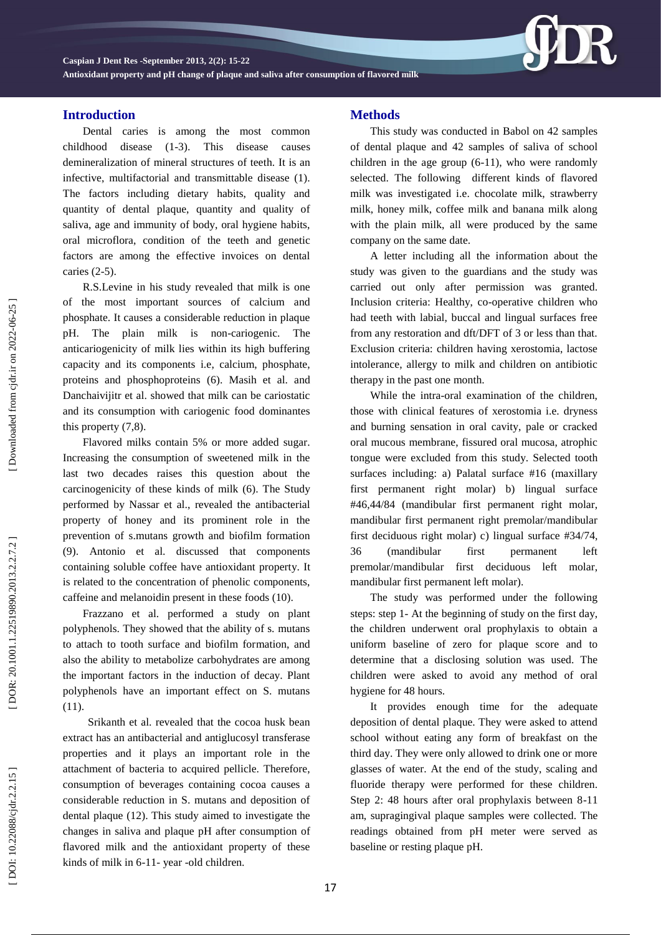**Caspian J Dent Res -September 201 3, 2 ( 2): 15 -22**

**Antioxidant property and pH change of plaque and saliva after consumption of flavored milk**

# **Introduction**

Dental caries is among the most common childhood disease (1-3). This disease causes demineralization of mineral structures of teeth. It is an infective, multifactorial and transmittable disease (1). The factors including dietary habits, quality and quantity of dental plaque, quantity and quality of saliva, age and immunity of body, oral hygiene habits, oral microflora, condition of the teeth and genetic factors are among the effective invoices on dental caries (2 -5).

R.S.Levine in his study revealed that milk is one of the most important sources of calcium and phosphate. It causes a considerable reduction in plaque pH. The plain milk is non -cariogenic. The anticariogenicity of milk lies within its high buffering capacity and its components i.e, calcium, phosphate, proteins and phosphoproteins (6). Masih et al. and Danchaivijitr et al. showed that milk can be cariostatic and its consumption with cariogenic food dominantes this property (7,8).

Flavored milks contain 5% or more added sugar. Increasing the consumption of sweetened milk in the last two decades raises this question about the carcinogenicity of these kinds of milk (6). The Study performed by Nassar et al., revealed the antibacterial property of honey and its prominent role in the prevention of s.mutans growth and biofilm formation (9). Antonio et al. discussed that components containing soluble coffee have antioxidant property. It is related to the concentration of phenolic components, caffeine and melanoidin present in these foods (10).

Frazzano et al. performed a study on plant polyphenols. They showed that the ability of s. mutans to attach to tooth surface and biofilm formation, and also the ability to metabolize carbohydrates are among the important factors in the induction of decay. Plant polyphenols have an important effect on S. mutans (11).

Srikanth et al. revealed that the cocoa husk bean extract has an antibacterial and antiglucosyl transferase properties and it plays an important role in the attachment of bacteria to acquired pellicle. Therefore, consumption of beverages containing cocoa causes a considerable reduction in S. mutans and deposition of dental plaque (12) . This study aimed to investigate the changes in saliva and plaque pH after consumption of flavored milk and the antioxidant property of these kinds of milk in 6 -11 - year -old children.

### **Methods**

This study was conducted in Babol on 42 samples of dental plaque and 42 samples of saliva of school children in the age group (6 -11), who were randomly selected. The following different kinds of flavored milk was investigated i.e. chocolate milk, strawberry milk, honey milk, coffee milk and banana milk along with the plain milk, all were produced by the same company on the same date.

A letter including all the information about the study was given to the guardians and the study was carried out only after permission was granted. Inclusion criteria: Healthy, co -operative children who had teeth with labial, buccal and lingual surfaces free from any restoration and dft/DFT of 3 or less than that. Exclusion criteria: children having xerostomia, lactose intolerance, allergy to milk and children on antibiotic therapy in the past one month.

While the intra -oral examination of the children, those with clinical features of xerostomia i.e. dryness and burning sensation in oral cavity, pale or cracked oral mucous membrane, fissured oral mucosa, atrophic tongue were excluded from this study. Selected tooth surfaces including: a) Palatal surface #16 (maxillary first permanent right molar) b) lingual surface #46,44/84 (mandibular first permanent right molar, mandibular first permanent right premolar/mandibular first deciduous righ t molar) c) lingual surface #34/74, 36 (mandibular first permanent left premolar/mandibular first deciduous left molar, mandibular first permanent left molar).

The study was performed under the following steps: step 1 - At the beginning of study on the first day, the children underwent oral prophylaxis to obtain a uniform baseline of zero for plaque score and to determine that a disclosing solution was used. The children were asked to avoid any method of oral hygiene for 48 hours.

It provides enough time for the adequate deposition of dental plaque. They were asked to attend school without eating any form of breakfast on the third day. They were only allowed to drink one or more glasses of water. At the end of the study, scaling and fluoride therapy were performed for these children. Step 2: 48 hours after oral prophylaxis between 8-11 am, supragingival plaque samples were collected. The readings obtained from pH meter were served as baseline or resting plaque pH.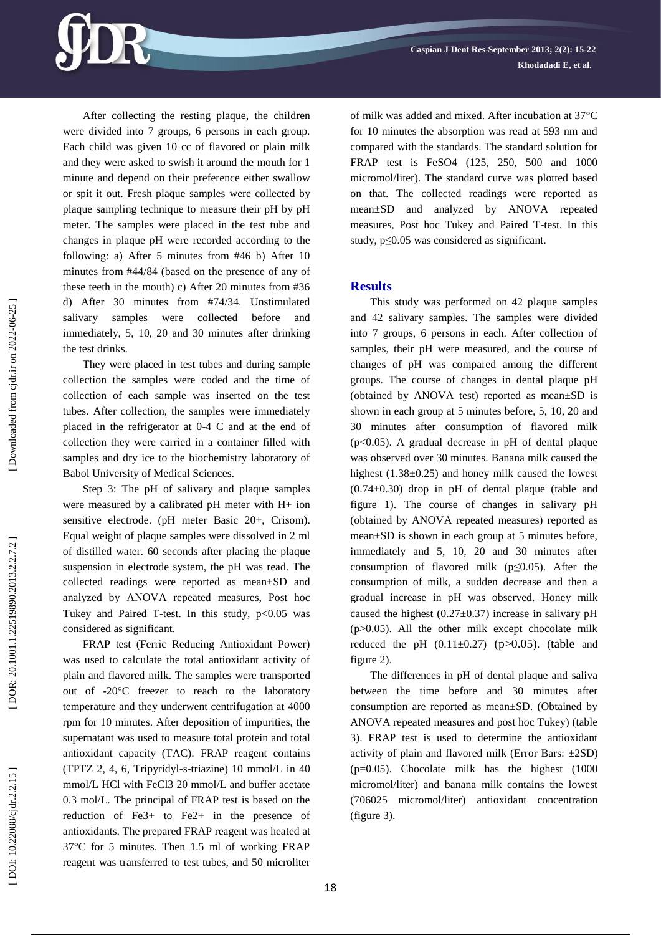After collecting the resting plaque, the children were divided into 7 groups, 6 persons in each group. Each child was given 10 cc of flavored or plain milk and they were asked to swish it around the mouth for 1 minute and depend on their preference either swallow or spit it out. Fresh plaque samples were collected by plaque sampling technique to measure their pH by pH meter. The samples were placed in the test tube and changes in plaque pH were recorded according to the following: a) After 5 minutes from #46 b) After 10 minutes from #44/84 (based on the presence of any of these teeth in the mouth) c) After 20 minutes from #36 d) After 30 minutes from #74/34. Unstimulated salivary samples were collected before and immediately, 5, 10, 20 and 30 minutes after drinking the test drinks.

They were placed in test tubes and during sample collection the samples were coded and the time of collection of each sample was inserted on the test tubes. After collection, the samples were immediately placed in the refrigerator at 0 -4 C and at the end of collection they were carried in a container filled with samples and dry ice to the biochemistry laboratory of Babol University of Medical Sciences.

Step 3: The pH of salivary and plaque samples were measured by a calibrated pH meter with H+ ion sensitive electrode. (pH meter Basic 20+, Crisom). Equal weight of plaque samples were dissolved in 2 ml of distilled water. 60 seconds after placing the plaque suspension in electrode system, the pH was read. The collected readings were reported as mean±SD and analyzed by ANOVA repeated measures, Post hoc Tukey and Paired T-test. In this study,  $p < 0.05$  was considered as significant.

FRAP test (Ferric Reducing Antioxidant Power) was used to calculate the total antioxidant activity of plain and flavored milk. The samples were transported out of -20°C freezer to reach to the laboratory temperature and they underwent centrifugation at 4000 rpm for 10 minutes. After deposition of impurities, the supernatant was used to measure total protein and total antioxidant capacity (TAC). FRAP reagent contains (TPTZ 2, 4, 6, Tripyridyl - s -triazine) 10 mmol/L in 40 mmol/L HCl with FeCl3 20 mmol/L and buffer acetate 0.3 mol/L. The principal of FRAP test is based on the reduction of Fe3+ to Fe2+ in the presence of antioxidants. The prepared FRAP reagent was heated at 37°C for 5 minutes. Then 1.5 ml of working FRAP reagent was transferred to test tubes, and 50 microliter

of milk was added and mixed. After incubation at 37°C for 10 minutes the absorption was read at 593 nm and compared with the standards. The standard solution for FRAP test is FeSO4 (125, 250, 500 and 1000 micromol/liter). The standard curve was plotted based on that. The collected readings were reported as mean±SD and analyzed by ANOVA repeated measures, Post hoc Tukey and Paired T -test. In this study, p≤0.05 was considered as significant.

### **Results**

This study was performed on 42 plaque samples and 42 salivary samples. The samples were divided into 7 groups, 6 persons in each. After collection of samples, their pH were measured, and the course of changes of pH was compared among the different groups. The course of changes in dental plaque pH (obtained by ANOVA test) reported as mean±SD is shown in each group at 5 minutes before, 5, 10, 20 and 30 minutes after consumption of flavored milk (p<0.05). A gradual decrease in pH of dental plaque was observed over 30 minutes. Banana milk caused the highest (1.38±0.25) and honey milk caused the lowest  $(0.74 \pm 0.30)$  drop in pH of dental plaque (table and figure 1). The course of changes in salivary pH (obtained by ANOVA repeated measures) reported as mean±SD is shown in each group at 5 minutes before, immediately and 5, 10, 20 and 30 minutes after consumption of flavored milk  $(p \le 0.05)$ . After the consumption of milk, a sudden decrease and then a gradual increase in pH was observed. Honey milk caused the highest  $(0.27 \pm 0.37)$  increase in salivary pH  $(p>0.05)$ . All the other milk except chocolate milk reduced the pH  $(0.11\pm0.27)$  (p $>0.05$ ). (table and figure 2).

The differences in pH of dental plaque and saliva between the time before and 30 minutes after consumption are reported as mean±SD. (Obtained by ANOVA repeated measures and post hoc Tukey) (table 3). FRAP test is used to determine the antioxidant activity of plain and flavored milk (Error Bars:  $\pm 2SD$ ) (p=0.05). Chocolate milk has the highest (1000 micromol/liter) and banana milk contains the lowest (706025 micromol/liter) antioxidant concentration (figure 3).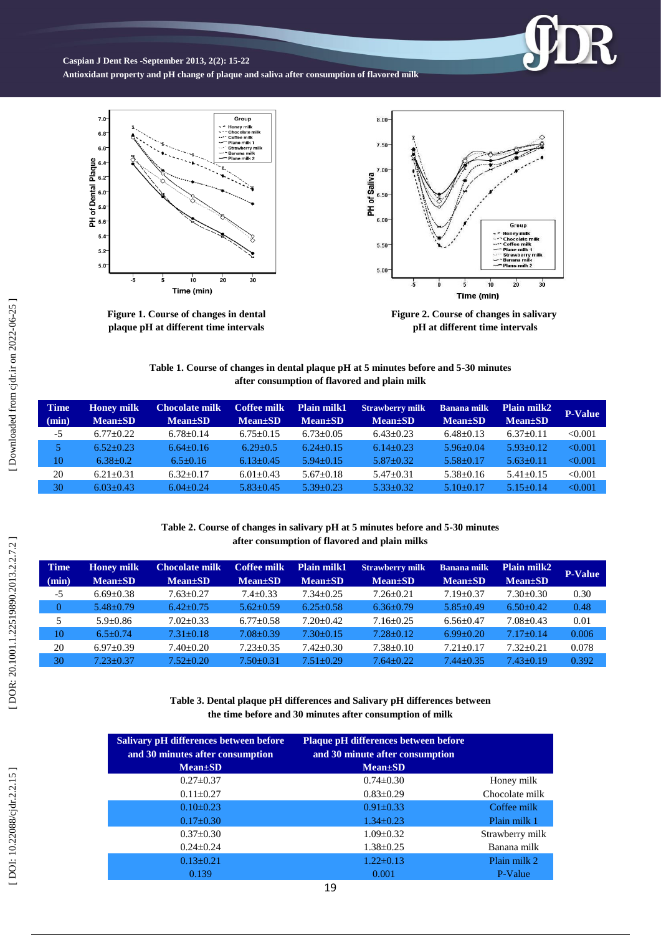**Caspian J Dent Res -September 201 3, 2 ( 2): 15 -22**

**Antioxidant property and pH change of plaque and saliva after consumption of flavored milk**



**Figure 1 . Course of changes in dental plaque pH at different time intervals**



R

**Table 1 . Course of changes in dental plaque pH at 5 minutes before and 5 -30 minutes after consumption of flavored and plain milk**

| <b>Time</b> | <b>Honey milk</b> | <b>Chocolate milk</b> | Coffee milk     | Plain milk1     | <b>Strawberry milk</b> | <b>Banana milk</b> | <b>Plain milk2</b> | <b>P-Value</b> |
|-------------|-------------------|-----------------------|-----------------|-----------------|------------------------|--------------------|--------------------|----------------|
| (min)       | $Mean \pm SD$     | $Mean \pm SD$         | <b>Mean</b> ±SD | $Mean \pm SD$   | $Mean \pm SD$          | $Mean \pm SD$      | $Mean \pm SD$      |                |
| $-5$        | $6.77 \pm 0.22$   | $6.78 \pm 0.14$       | $6.75 + 0.15$   | $6.73 \pm 0.05$ | $6.43 \pm 0.23$        | $6.48 \pm 0.13$    | $6.37 \pm 0.11$    | < 0.001        |
|             | $6.52 \pm 0.23$   | $6.64 \pm 0.16$       | $6.29 \pm 0.5$  | $6.24 \pm 0.15$ | $6.14+0.23$            | $5.96 \pm 0.04$    | $5.93 \pm 0.12$    | < 0.001        |
| 10          | $6.38 \pm 0.2$    | $6.5 \pm 0.16$        | $6.13 \pm 0.45$ | $5.94 \pm 0.15$ | $5.87 \pm 0.32$        | $5.58 \pm 0.17$    | $5.63 \pm 0.11$    | < 0.001        |
| 20          | $6.21 \pm 0.31$   | $6.32 \pm 0.17$       | $6.01 + 0.43$   | $5.67+0.18$     | $5.47+0.31$            | $5.38 \pm 0.16$    | $5.41 \pm 0.15$    | < 0.001        |
| 30          | $6.03+0.43$       | $6.04 \pm 0.24$       | $5.83 + 0.45$   | $5.39 \pm 0.23$ | $5.33+0.32$            | $5.10+0.17$        | $5.15+0.14$        | < 0.001        |

#### **Table 2 . Course of changes in salivary pH at 5 minutes before and 5 -30 minutes after consumption of flavored and plain milks**

| <b>Time</b> | <b>Honey milk</b> | <b>Chocolate milk</b> | <b>Coffee milk</b> | <b>Plain milk1</b> | <b>Strawberry milk</b> | <b>Banana milk</b> | Plain milk2     | <b>P-Value</b> |
|-------------|-------------------|-----------------------|--------------------|--------------------|------------------------|--------------------|-----------------|----------------|
| (min)       | $Mean \pm SD$     | $Mean \pm SD$         | $Mean \pm SD$      | $Mean \pm SD$      | $Mean \pm SD$          | <b>Mean</b> ±SD    | <b>Mean</b> ±SD |                |
| $-5$        | $6.69 \pm 0.38$   | $7.63+0.27$           | $7.4 + 0.33$       | $7.34 + 0.25$      | $7.26 + 0.21$          | $7.19 + 0.37$      | $7.30+0.30$     | 0.30           |
| $\Omega$    | $5.48 \pm 0.79$   | $6.42+0.75$           | $5.62 \pm 0.59$    | $6.25 + 0.58$      | $6.36 \pm 0.79$        | $5.85 \pm 0.49$    | $6.50+0.42$     | 0.48           |
| 5           | $5.9 + 0.86$      | $7.02 + 0.33$         | $6.77+0.58$        | $7.20+0.42$        | $7.16 + 0.25$          | $6.56 + 0.47$      | $7.08 + 0.43$   | 0.01           |
| 10          | $6.5 + 0.74$      | $7.31 + 0.18$         | $7.08 + 0.39$      | $7.30+0.15$        | $7.28 + 0.12$          | $6.99 + 0.20$      | $7.17+0.14$     | 0.006          |
| 20          | $6.97 \pm 0.39$   | $7.40 \pm 0.20$       | $7.23 \pm 0.35$    | $7.42 + 0.30$      | $7.38 + 0.10$          | $7.21 + 0.17$      | $7.32 + 0.21$   | 0.078          |
| 30          | $7.23 + 0.37$     | $7.52+0.20$           | $7.50 \pm 0.31$    | $7.51 + 0.29$      | $7.64 + 0.22$          | $7.44 \pm 0.35$    | $7.43+0.19$     | 0.392          |

**Table 3 . Dental plaque pH differences and Salivary pH differences between the time before and 30 minutes after consumption of milk**

| Salivary pH differences between before<br>and 30 minutes after consumption<br>$Mean \pm SD$ | <b>Plaque pH differences between before</b><br>and 30 minute after consumption<br>$Mean \pm SD$ |                 |
|---------------------------------------------------------------------------------------------|-------------------------------------------------------------------------------------------------|-----------------|
| $0.27 \pm 0.37$                                                                             | $0.74 \pm 0.30$                                                                                 | Honey milk      |
| $0.11 \pm 0.27$                                                                             | $0.83 \pm 0.29$                                                                                 | Chocolate milk  |
| $0.10 \pm 0.23$                                                                             | $0.91 \pm 0.33$                                                                                 | Coffee milk     |
| $0.17 \pm 0.30$                                                                             | $1.34\pm0.23$                                                                                   | Plain milk 1    |
| $0.37 \pm 0.30$                                                                             | $1.09 \pm 0.32$                                                                                 | Strawberry milk |
| $0.24 \pm 0.24$                                                                             | $1.38 \pm 0.25$                                                                                 | Banana milk     |
| $0.13 \pm 0.21$                                                                             | $1.22 \pm 0.13$                                                                                 | Plain milk 2    |
| 0.139                                                                                       | 0.001                                                                                           | P-Value         |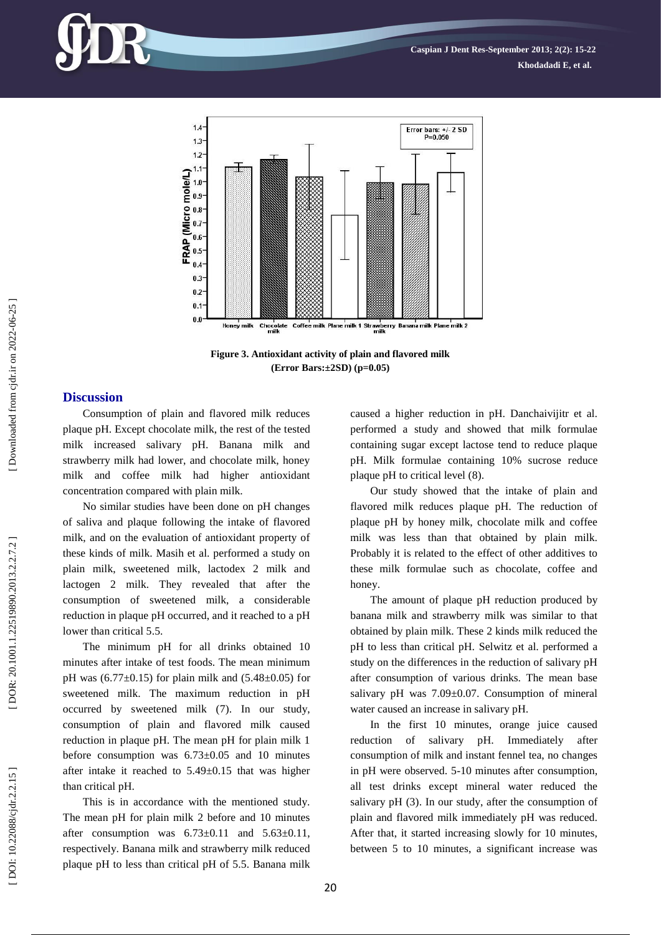

**Figure 3. Antioxidant activity of plain and flavored milk (Error Bars:±2SD) (p=0.05)**

# **Discussion**

Consumption of plain and flavored milk reduces plaque pH. Except chocolate milk, the rest of the tested milk increased salivary pH. Banana milk and strawberry milk had lower, and chocolate milk, honey milk and coffee milk had higher antioxidant concentration compared with plain milk.

No similar studies have been done on pH changes of saliva and plaque following the intake of flavored milk, and on the evaluation of antioxidant property of these kinds of milk. Masih et al. performed a study on plain milk, sweetened milk, lactodex 2 milk and lactogen 2 milk. They revealed that after the consumption of sweetened milk, a considerable reduction in plaque pH occurred, and it reached to a pH lower than critical 5.5.

The minimum pH for all drinks obtained 10 minutes after intake of test foods. The mean minimum pH was  $(6.77 \pm 0.15)$  for plain milk and  $(5.48 \pm 0.05)$  for sweetened milk. The maximum reduction in pH occurred by sweetened milk ( 7). In our study, consumption of plain and flavored milk caused reduction in plaque pH. The mean pH for plain milk 1 before consumption was 6.73±0.05 and 10 minutes after intake it reached to 5.49±0.15 that was higher than critical pH.

This is in accordance with the mentioned study. The mean pH for plain milk 2 before and 10 minutes after consumption was  $6.73\pm0.11$  and  $5.63\pm0.11$ , respectively. Banana milk and strawberry milk reduced plaque pH to less than critical pH of 5.5. Banana milk caused a higher reduction in pH. Danchaivijitr et al. performed a study and showed that milk formulae containing sugar except lactose tend to reduce plaque pH. Milk formulae containing 10% sucrose reduce plaque pH to critical level (8).

Our study showed that the intake of plain and flavored milk reduces plaque pH. The reduction of plaque pH by honey milk, chocolate milk and coffee milk was less than that obtained by plain milk. Probably it is related to the effect of other additives to these milk formulae such as chocolate, coffee and honey.

The amount of plaque pH reduction produced by banana milk and strawberry milk was similar to that obtained by plain milk. These 2 kinds milk reduced the pH to less than critical pH. Selwitz et al. performed a study on the differences in the reduction of salivary pH after consumption of various drinks. The mean base salivary pH was 7.09±0.07. Consumption of mineral water caused an increase in salivary pH.

In the first 10 minutes, orange juice caused reduction of salivary pH. Immediately after consumption of milk and instant fennel tea, no changes in pH were observed. 5 -10 minutes after consumption, all test drinks except mineral water reduced the salivary pH (3). In our study, after the consumption of plain and flavored milk immediately pH was reduced. After that, it started increasing slowly for 10 minutes, between 5 to 10 minutes, a significant increase was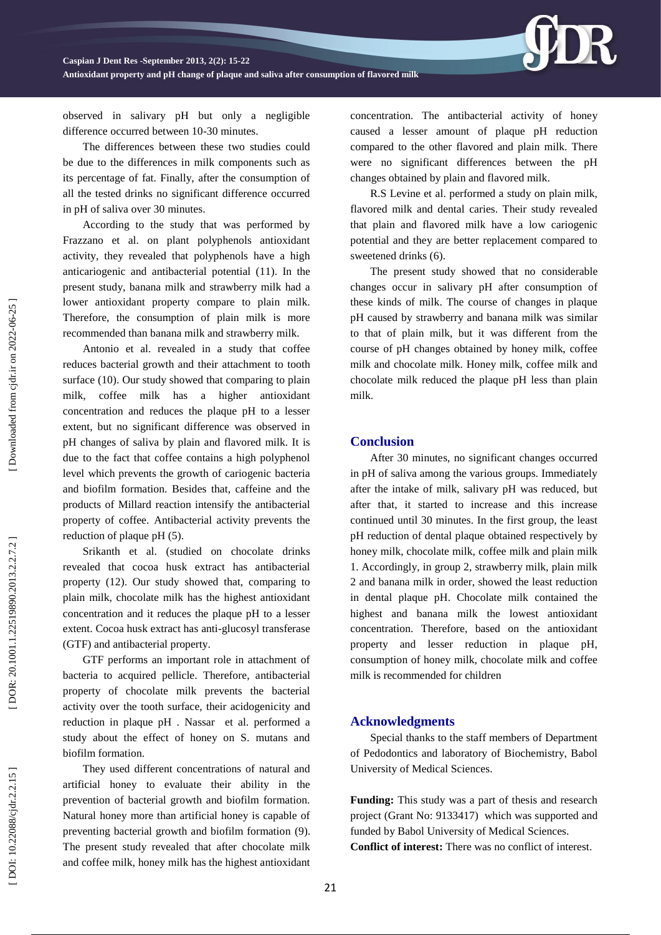**Caspian J Dent Res -September 201 3, 2 ( 2): 15 -22**

**Antioxidant property and pH change of plaque and saliva after consumption of flavored milk**

observed in salivary pH but only a negligible difference occurred between 10-30 minutes.

The differences between these two studies could be due to the differences in milk components such as its percentage of fat. Finally, after the consumption of all the tested drinks no significant difference occurred in pH of saliva over 30 minutes.

According to the study that was performed by Frazzano et al. on plant polyphenols antioxidant activity, they revealed that polyphenols have a high anticariogenic and antibacterial potential (11). In the present study, banana milk and strawberry milk had a lower antioxidant property compare to plain milk. Therefore, the consumption of plain milk is more recommended than banana milk and strawberry milk.

Antonio et al. revealed in a study that coffee reduces bacterial growth and their attachment to tooth surface (10). Our study showed that comparing to plain milk, coffee milk has a higher antioxidant concentration and reduces the plaque pH to a lesser extent, but no significant difference was observed in pH changes of saliva by plain and flavored milk. It is due to the fact that coffee contains a high polyphenol level which prevents the growth of cariogenic bacteria and biofilm formation. Besides that, caffeine and the products of Millard reaction intensify the antibacterial property of coffee. Antibacterial activity prevents the reduction of plaque pH (5).

Srikanth et al. (studied on chocolate drinks revealed that cocoa husk extract has antibacterial property (12). Our study showed that, comparing to plain milk, chocolate milk has the highest antioxidant concentration and it reduces the plaque pH to a lesser extent. Cocoa husk extract has anti -glucosyl transferase (GTF) and antibacterial property.

GTF performs an important role in attachment of bacteria to acquired pellicle. Therefore, antibacterial property of chocolate milk prevents the bacterial activity over the tooth surface, their acidogenicity and reduction in plaque pH . Nassar et al. performed a study about the effect of honey on S. mutans and biofilm formation.

They used different concentrations of natural and artificial honey to evaluate their ability in the prevention of bacterial growth and biofilm formation. Natural honey more than artificial honey is capable of preventing bacterial growth and biofilm formation ( 9). The present study revealed that after chocolate milk and coffee milk, honey milk has the highest antioxidant concentration. The antibacterial activity of honey caused a lesser amount of plaque pH reduction compared to the other flavored and plain milk. There were no significant differences between the pH changes obtained by plain and flavored milk.

R.S Levine et al. performed a study on plain milk, flavored milk and dental caries. Their study revealed that plain and flavored milk have a low cariogenic potential and they are better replacement compared to sweetened drinks ( 6).

The present study showed that no considerable changes occur in salivary pH after consumption of these kinds of milk. The course of changes in plaque pH caused by strawberry and banana milk was similar to that of plain milk, but it was different from the course of pH changes obtained by honey milk, coffee milk and chocolate milk. Honey milk, coffee milk and chocolate milk reduced the plaque pH less than plain milk.

### **Conclusion**

After 30 minutes, no significant changes occurred in pH of saliva among the various groups. Immediately after the intake of milk, salivary pH was reduced, but after that, it started to increase and this increase continued until 30 minutes. In the first group, the least pH reduction of dental plaque obtained respectively by honey milk, chocolate milk, coffee milk and plain milk 1. Accordingly, in group 2, strawberry milk, plain milk 2 and banana milk in order, showed the least reduction in dental plaque pH. Chocolate milk contained the highest and banana milk the lowest antioxidant concentration. Therefore, based on the antioxidant property and lesser reduction in plaque pH, consumption of honey milk, chocolate milk and coffee milk is recommended for children

## **Acknowledgments**

Special thanks to the staff members of Department of Pedodontics and laboratory of Biochemistry, Babol University of Medical Sciences.

**Funding:** This study was a part of thesis and research project (Grant No: 9133417) which was supported and funded by Babol University of Medical Sciences. **Conflict of interest:** There was no conflict of interest .